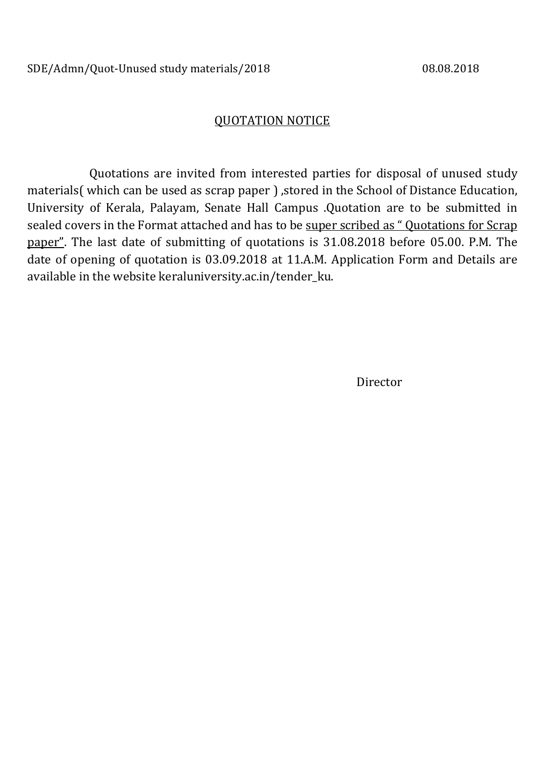# QUOTATION NOTICE

 Quotations are invited from interested parties for disposal of unused study materials( which can be used as scrap paper ), stored in the School of Distance Education, University of Kerala, Palayam, Senate Hall Campus .Quotation are to be submitted in sealed covers in the Format attached and has to be super scribed as " Quotations for Scrap paper". The last date of submitting of quotations is 31.08.2018 before 05.00. P.M. The date of opening of quotation is 03.09.2018 at 11.A.M. Application Form and Details are available in the website keraluniversity.ac.in/tender\_ku.

Director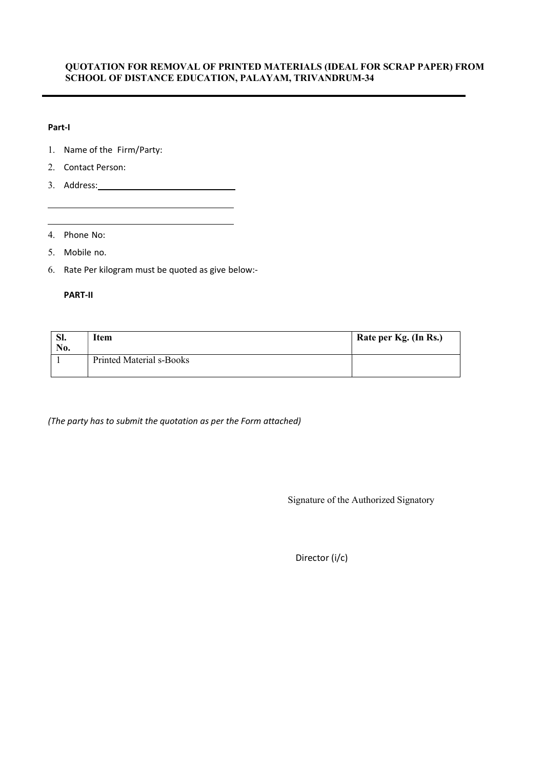## QUOTATION FOR REMOVAL OF PRINTED MATERIALS (IDEAL FOR SCRAP PAPER) FROM SCHOOL OF DISTANCE EDUCATION, PALAYAM, TRIVANDRUM-34

### Part-I

- 1. Name of the Firm/Party:
- 2. Contact Person:
- 3. Address:

4. Phone No:

5. Mobile no.

6. Rate Per kilogram must be quoted as give below:-

### PART-II

| SI.<br>No. | [tem                            | Rate per Kg. (In Rs.) |
|------------|---------------------------------|-----------------------|
|            | <b>Printed Material s-Books</b> |                       |

(The party has to submit the quotation as per the Form attached)

Signature of the Authorized Signatory

Director (i/c)